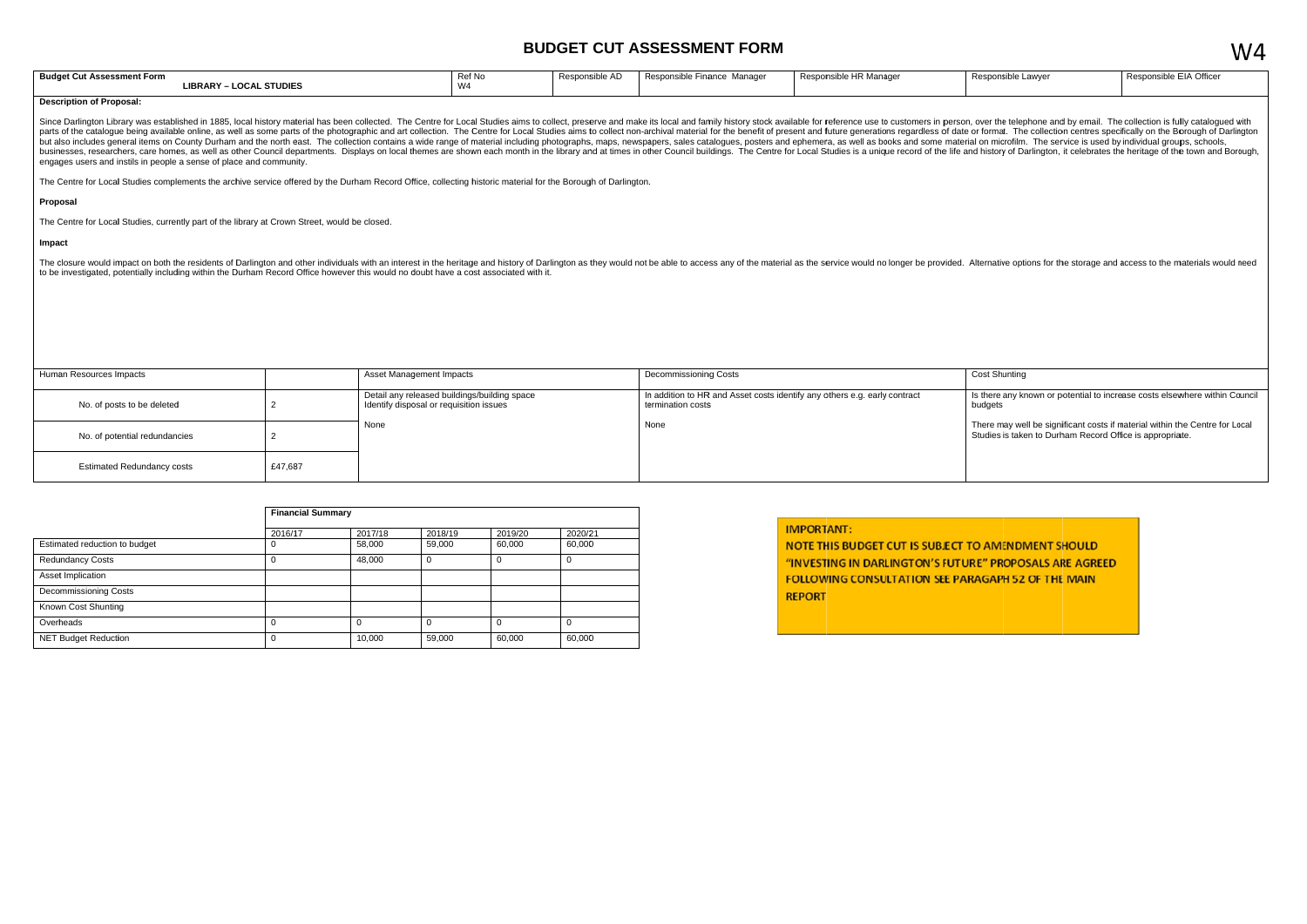## **BUDGET CUT ASSESSMENT FORM**

| <b>Budge</b><br>t Assessment Form<br>. v. | Ref No             | $\Lambda$<br>ונור. | Manage<br>Finance<br>Responsible F | .<br>: Manaɑe<br>nsinie. | Resp |
|-------------------------------------------|--------------------|--------------------|------------------------------------|--------------------------|------|
| <b>STUDIES</b><br>LIBRARY<br>OC 4         | 1111<br>v v –<br>. |                    |                                    |                          |      |

#### **Description of Proposal:**

Since Darlington Library was established in 1885, local history material has been collected. The Centre for Local Studies aims to collect, preserve and make its local and family history stock available for reference use to parts of the catalogue being available online, as well as some parts of the photographic and art collection. The Centre for Local Studies aims to collect non-archival material for the benefit of present and future generati but also includes general items on County Durham and the north east. The collection contains a wide range of material including photographs, maps, newspapers, sales catalogues, posters and ephemera, as well as books and so businesses, researchers, care homes, as well as other Council departments. Displays on local themes are shown each month in the library and at times in other Council buildings. The Centre for Local Studies is a unique reco engages users and instils in people a sense of place and community.

The Centre for Local Studies complements the archive service offered by the Durham Record Office, collecting historic material for the Borough of Darlington.

#### Proposal

The Centre for Local Studies, currently part of the library at Crown Street, would be closed.

#### Impact

The closure would impact on both the residents of Darlington and other individuals with an interest in the heritage and history of Darlington as they would not be able to access any of the material as the service would no to be investigated, potentially including within the Durham Record Office however this would no doubt have a cost associated with it.

| Human Resources Impacts           |         | Asset Management Impacts                                                                | Decommissioning Costs                                                                          | Cost           |
|-----------------------------------|---------|-----------------------------------------------------------------------------------------|------------------------------------------------------------------------------------------------|----------------|
| No. of posts to be deleted        |         | Detail any released buildings/building space<br>Identify disposal or requisition issues | In addition to HR and Asset costs identify any others e.g. early contract<br>termination costs | ls th∈<br>budç |
| No. of potential redundancies     |         | None                                                                                    | None                                                                                           | Ther<br>Stud   |
| <b>Estimated Redundancy costs</b> | £47,687 |                                                                                         |                                                                                                |                |

|                               |          | <b>Financial Summary</b> |         |         |         |  |  |  |
|-------------------------------|----------|--------------------------|---------|---------|---------|--|--|--|
|                               | 2016/17  | 2017/18                  | 2018/19 | 2019/20 | 2020/21 |  |  |  |
| Estimated reduction to budget | υ        | 58,000                   | 59,000  | 60,000  | 60,000  |  |  |  |
| <b>Redundancy Costs</b>       | 0        | 48,000                   | 0       |         | υ       |  |  |  |
| Asset Implication             |          |                          |         |         |         |  |  |  |
| <b>Decommissioning Costs</b>  |          |                          |         |         |         |  |  |  |
| Known Cost Shunting           |          |                          |         |         |         |  |  |  |
| Overheads                     | $\Omega$ |                          | 0       |         | 0       |  |  |  |
| <b>NET Budget Reduction</b>   | 0        | 10,000                   | 59,000  | 60,000  | 60,000  |  |  |  |

|  | <b>IMPORTANT:</b> |  |  |
|--|-------------------|--|--|
|  |                   |  |  |

NOTE THIS BUDGET CUT IS SUBJECT TO AMENDMENT SHOULD "INVESTING IN DARLINGTON'S FUTURE" PROPOSALS ARE AGREED **FOLLOWING CONSULTATION SEE PARAGAPH 52 OF THE MAIN REPORT** 

| ponsible Lawyer | Responsible EIA Officer |
|-----------------|-------------------------|
|                 |                         |
|                 |                         |

### Shunting

ere any known or potential to increase costs elsewhere within Council 2ter

re may well be significant costs if material within the Centre for Local lies is taken to Durham Record Office is appropriate.